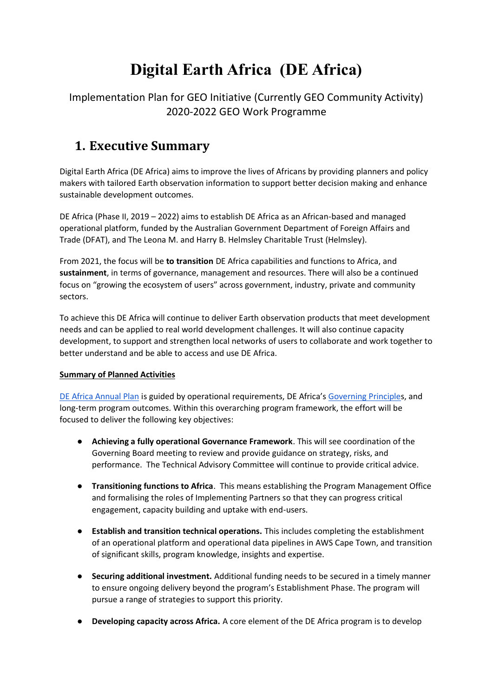# **Digital Earth Africa (DE Africa)**

### Implementation Plan for GEO Initiative (Currently GEO Community Activity) 2020-2022 GEO Work Programme

## **1. Executive Summary**

Digital Earth Africa (DE Africa) aims to improve the lives of Africans by providing planners and policy makers with tailored Earth observation information to support better decision making and enhance sustainable development outcomes.

DE Africa (Phase II, 2019 – 2022) aims to establish DE Africa as an African-based and managed operational platform, funded by the Australian Government Department of Foreign Affairs and Trade (DFAT), and The Leona M. and Harry B. Helmsley Charitable Trust (Helmsley).

From 2021, the focus will be **to transition** DE Africa capabilities and functions to Africa, and **sustainment**, in terms of governance, management and resources. There will also be a continued focus on "growing the ecosystem of users" across government, industry, private and community sectors.

To achieve this DE Africa will continue to deliver Earth observation products that meet development needs and can be applied to real world development challenges. It will also continue capacity development, to support and strengthen local networks of users to collaborate and work together to better understand and be able to access and use DE Africa.

#### **Summary of Planned Activities**

[DE Africa Annual Plan](https://www.digitalearthafrica.org/) is guided by operational requirements, DE Africa's [Governing Principles](https://www.digitalearthafrica.org/about-us/governance), and long-term program outcomes. Within this overarching program framework, the effort will be focused to deliver the following key objectives:

- **Achieving a fully operational Governance Framework**. This will see coordination of the Governing Board meeting to review and provide guidance on strategy, risks, and performance. The Technical Advisory Committee will continue to provide critical advice.
- **Transitioning functions to Africa**. This means establishing the Program Management Office and formalising the roles of Implementing Partners so that they can progress critical engagement, capacity building and uptake with end-users.
- **Establish and transition technical operations.** This includes completing the establishment of an operational platform and operational data pipelines in AWS Cape Town, and transition of significant skills, program knowledge, insights and expertise.
- **Securing additional investment.** Additional funding needs to be secured in a timely manner to ensure ongoing delivery beyond the program's Establishment Phase. The program will pursue a range of strategies to support this priority.
- **Developing capacity across Africa.** A core element of the DE Africa program is to develop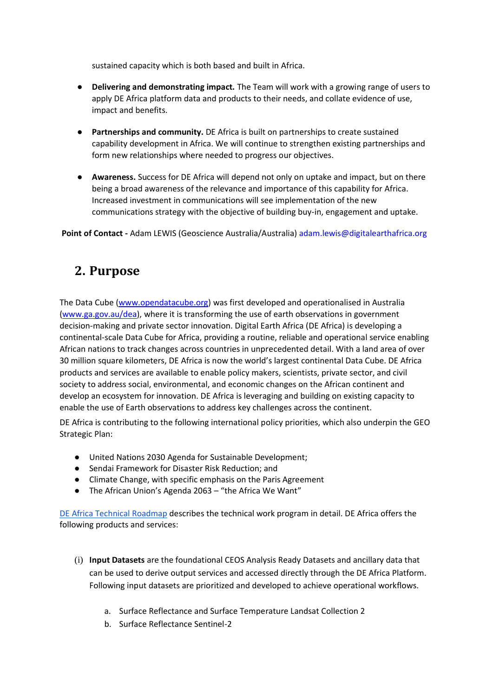sustained capacity which is both based and built in Africa.

- **Delivering and demonstrating impact.** The Team will work with a growing range of users to apply DE Africa platform data and products to their needs, and collate evidence of use, impact and benefits.
- **Partnerships and community.** DE Africa is built on partnerships to create sustained capability development in Africa. We will continue to strengthen existing partnerships and form new relationships where needed to progress our objectives.
- **Awareness.** Success for DE Africa will depend not only on uptake and impact, but on there being a broad awareness of the relevance and importance of this capability for Africa. Increased investment in communications will see implementation of the new communications strategy with the objective of building buy-in, engagement and uptake.

**Point of Contact -** Adam LEWIS (Geoscience Australia/Australia) adam.lewis@digitalearthafrica.org

## **2. Purpose**

The Data Cube [\(www.opendatacube.org\)](http://www.opendatacube.org/) was first developed and operationalised in Australia [\(www.ga.gov.au/dea\)](http://www.ga.gov.au/dea), where it is transforming the use of earth observations in government decision-making and private sector innovation. Digital Earth Africa (DE Africa) is developing a continental-scale Data Cube for Africa, providing a routine, reliable and operational service enabling African nations to track changes across countries in unprecedented detail. With a land area of over 30 million square kilometers, DE Africa is now the world's largest continental Data Cube. DE Africa products and services are available to enable policy makers, scientists, private sector, and civil society to address social, environmental, and economic changes on the African continent and develop an ecosystem for innovation. DE Africa is leveraging and building on existing capacity to enable the use of Earth observations to address key challenges across the continent.

DE Africa is contributing to the following international policy priorities, which also underpin the GEO Strategic Plan:

- United Nations 2030 Agenda for Sustainable Development;
- Sendai Framework for Disaster Risk Reduction; and
- Climate Change, with specific emphasis on the Paris Agreement
- The African Union's Agenda 2063 "the Africa We Want"

[DE Africa Technical Roadmap](https://www.digitalearthafrica.org/about-us/program-planning/technical-roadmap) describes the technical work program in detail. DE Africa offers the following products and services:

- (i) **Input Datasets** are the foundational CEOS Analysis Ready Datasets and ancillary data that can be used to derive output services and accessed directly through the DE Africa Platform. Following input datasets are prioritized and developed to achieve operational workflows.
	- a. Surface Reflectance and Surface Temperature Landsat Collection 2
	- b. Surface Reflectance Sentinel-2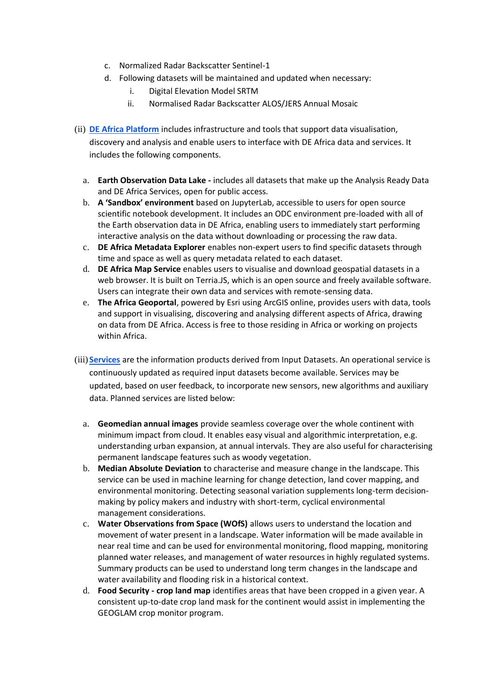- c. Normalized Radar Backscatter Sentinel-1
- d. Following datasets will be maintained and updated when necessary:
	- i. Digital Elevation Model SRTM
	- ii. Normalised Radar Backscatter ALOS/JERS Annual Mosaic
- (ii) **[DE Africa Platform](https://www.digitalearthafrica.org/index.php/platform-resources/platform)** includes infrastructure and tools that support data visualisation, discovery and analysis and enable users to interface with DE Africa data and services. It includes the following components.
	- a. **Earth Observation Data Lake -** includes all datasets that make up the Analysis Ready Data and DE Africa Services, open for public access.
	- b. **A 'Sandbox' environment** based on JupyterLab, accessible to users for open source scientific notebook development. It includes an ODC environment pre-loaded with all of the Earth observation data in DE Africa, enabling users to immediately start performing interactive analysis on the data without downloading or processing the raw data.
	- c. **DE Africa Metadata Explorer** enables non-expert users to find specific datasets through time and space as well as query metadata related to each dataset.
	- d. **DE Africa Map Service** enables users to visualise and download geospatial datasets in a web browser. It is built on Terria.JS, which is an open source and freely available software. Users can integrate their own data and services with remote-sensing data.
	- e. **The Africa Geoportal**, powered by Esri using ArcGIS online, provides users with data, tools and support in visualising, discovering and analysing different aspects of Africa, drawing on data from DE Africa. Access is free to those residing in Africa or working on projects within Africa.
- (iii) **[Services](https://www.digitalearthafrica.org/platform-resources/services-and-analysis-tools)** are the information products derived from Input Datasets. An operational service is continuously updated as required input datasets become available. Services may be updated, based on user feedback, to incorporate new sensors, new algorithms and auxiliary data. Planned services are listed below:
	- a. **Geomedian annual images** provide seamless coverage over the whole continent with minimum impact from cloud. It enables easy visual and algorithmic interpretation, e.g. understanding urban expansion, at annual intervals. They are also useful for characterising permanent landscape features such as woody vegetation.
	- b. **Median Absolute Deviation** to characterise and measure change in the landscape. This service can be used in machine learning for change detection, land cover mapping, and environmental monitoring. Detecting seasonal variation supplements long-term decisionmaking by policy makers and industry with short-term, cyclical environmental management considerations.
	- c. **Water Observations from Space (WOfS)** allows users to understand the location and movement of water present in a landscape. Water information will be made available in near real time and can be used for environmental monitoring, flood mapping, monitoring planned water releases, and management of water resources in highly regulated systems. Summary products can be used to understand long term changes in the landscape and water availability and flooding risk in a historical context.
	- d. **Food Security - crop land map** identifies areas that have been cropped in a given year. A consistent up-to-date crop land mask for the continent would assist in implementing the GEOGLAM crop monitor program.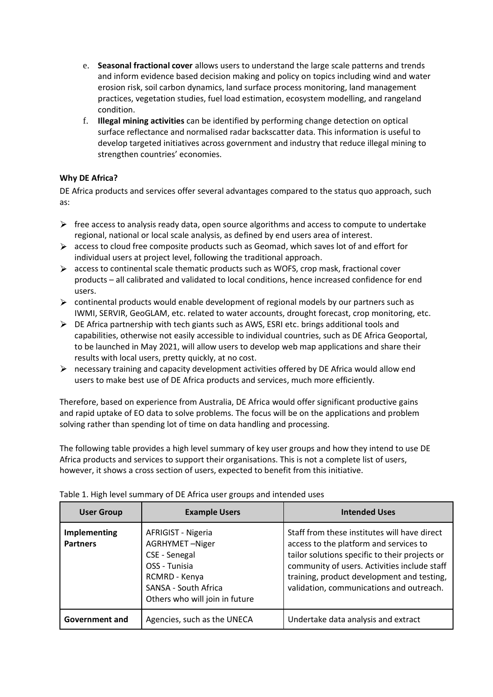- e. **Seasonal fractional cover** allows users to understand the large scale patterns and trends and inform evidence based decision making and policy on topics including wind and water erosion risk, soil carbon dynamics, land surface process monitoring, land management practices, vegetation studies, fuel load estimation, ecosystem modelling, and rangeland condition.
- f. **Illegal mining activities** can be identified by performing change detection on optical surface reflectance and normalised radar backscatter data. This information is useful to develop targeted initiatives across government and industry that reduce illegal mining to strengthen countries' economies.

#### **Why DE Africa?**

DE Africa products and services offer several advantages compared to the status quo approach, such as:

- $\triangleright$  free access to analysis ready data, open source algorithms and access to compute to undertake regional, national or local scale analysis, as defined by end users area of interest.
- $\triangleright$  access to cloud free composite products such as Geomad, which saves lot of and effort for individual users at project level, following the traditional approach.
- $\triangleright$  access to continental scale thematic products such as WOFS, crop mask, fractional cover products – all calibrated and validated to local conditions, hence increased confidence for end users.
- $\triangleright$  continental products would enable development of regional models by our partners such as IWMI, SERVIR, GeoGLAM, etc. related to water accounts, drought forecast, crop monitoring, etc.
- $\triangleright$  DE Africa partnership with tech giants such as AWS, ESRI etc. brings additional tools and capabilities, otherwise not easily accessible to individual countries, such as DE Africa Geoportal, to be launched in May 2021, will allow users to develop web map applications and share their results with local users, pretty quickly, at no cost.
- $\triangleright$  necessary training and capacity development activities offered by DE Africa would allow end users to make best use of DE Africa products and services, much more efficiently.

Therefore, based on experience from Australia, DE Africa would offer significant productive gains and rapid uptake of EO data to solve problems. The focus will be on the applications and problem solving rather than spending lot of time on data handling and processing.

The following table provides a high level summary of key user groups and how they intend to use DE Africa products and services to support their organisations. This is not a complete list of users, however, it shows a cross section of users, expected to benefit from this initiative.

| <b>User Group</b>               | <b>Example Users</b>                                                                                                                              | <b>Intended Uses</b>                                                                                                                                                                                                                                                               |
|---------------------------------|---------------------------------------------------------------------------------------------------------------------------------------------------|------------------------------------------------------------------------------------------------------------------------------------------------------------------------------------------------------------------------------------------------------------------------------------|
| Implementing<br><b>Partners</b> | AFRIGIST - Nigeria<br>AGRHYMET-Niger<br>CSE - Senegal<br>OSS - Tunisia<br>RCMRD - Kenya<br>SANSA - South Africa<br>Others who will join in future | Staff from these institutes will have direct<br>access to the platform and services to<br>tailor solutions specific to their projects or<br>community of users. Activities include staff<br>training, product development and testing,<br>validation, communications and outreach. |
| <b>Government and</b>           | Agencies, such as the UNECA                                                                                                                       | Undertake data analysis and extract                                                                                                                                                                                                                                                |

Table 1. High level summary of DE Africa user groups and intended uses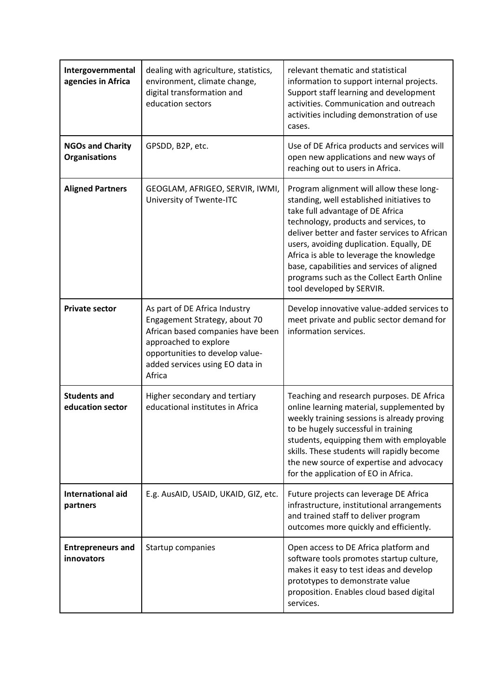| Intergovernmental<br>agencies in Africa         | dealing with agriculture, statistics,<br>environment, climate change,<br>digital transformation and<br>education sectors                                                                                     | relevant thematic and statistical<br>information to support internal projects.<br>Support staff learning and development<br>activities. Communication and outreach<br>activities including demonstration of use<br>cases.                                                                                                                                                                                                           |
|-------------------------------------------------|--------------------------------------------------------------------------------------------------------------------------------------------------------------------------------------------------------------|-------------------------------------------------------------------------------------------------------------------------------------------------------------------------------------------------------------------------------------------------------------------------------------------------------------------------------------------------------------------------------------------------------------------------------------|
| <b>NGOs and Charity</b><br><b>Organisations</b> | GPSDD, B2P, etc.                                                                                                                                                                                             | Use of DE Africa products and services will<br>open new applications and new ways of<br>reaching out to users in Africa.                                                                                                                                                                                                                                                                                                            |
| <b>Aligned Partners</b>                         | GEOGLAM, AFRIGEO, SERVIR, IWMI,<br>University of Twente-ITC                                                                                                                                                  | Program alignment will allow these long-<br>standing, well established initiatives to<br>take full advantage of DE Africa<br>technology, products and services, to<br>deliver better and faster services to African<br>users, avoiding duplication. Equally, DE<br>Africa is able to leverage the knowledge<br>base, capabilities and services of aligned<br>programs such as the Collect Earth Online<br>tool developed by SERVIR. |
| <b>Private sector</b>                           | As part of DE Africa Industry<br>Engagement Strategy, about 70<br>African based companies have been<br>approached to explore<br>opportunities to develop value-<br>added services using EO data in<br>Africa | Develop innovative value-added services to<br>meet private and public sector demand for<br>information services.                                                                                                                                                                                                                                                                                                                    |
| <b>Students and</b><br>education sector         | Higher secondary and tertiary<br>educational institutes in Africa                                                                                                                                            | Teaching and research purposes. DE Africa<br>online learning material, supplemented by<br>weekly training sessions is already proving<br>to be hugely successful in training<br>students, equipping them with employable<br>skills. These students will rapidly become<br>the new source of expertise and advocacy<br>for the application of EO in Africa.                                                                          |
| <b>International aid</b><br>partners            | E.g. AusAID, USAID, UKAID, GIZ, etc.                                                                                                                                                                         | Future projects can leverage DE Africa<br>infrastructure, institutional arrangements<br>and trained staff to deliver program<br>outcomes more quickly and efficiently.                                                                                                                                                                                                                                                              |
| <b>Entrepreneurs and</b><br>innovators          | Startup companies                                                                                                                                                                                            | Open access to DE Africa platform and<br>software tools promotes startup culture,<br>makes it easy to test ideas and develop<br>prototypes to demonstrate value<br>proposition. Enables cloud based digital<br>services.                                                                                                                                                                                                            |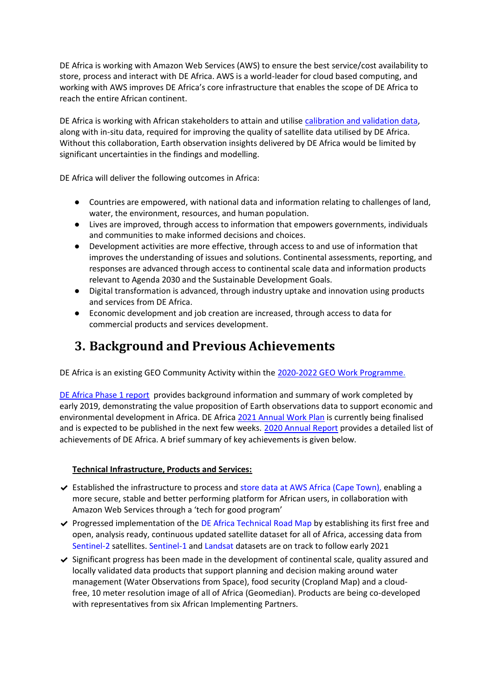DE Africa is working with Amazon Web Services (AWS) to ensure the best service/cost availability to store, process and interact with DE Africa. AWS is a world-leader for cloud based computing, and working with AWS improves DE Africa's core infrastructure that enables the scope of DE Africa to reach the entire African continent.

DE Africa is working with African stakeholders to attain and utilise [calibration and validation data,](https://www.digitalearthafrica.org/sites/default/files/downloads/DE%20Africa%20Validation%20Strategy_draft.pdf) along with in-situ data, required for improving the quality of satellite data utilised by DE Africa. Without this collaboration, Earth observation insights delivered by DE Africa would be limited by significant uncertainties in the findings and modelling.

DE Africa will deliver the following outcomes in Africa:

- Countries are empowered, with national data and information relating to challenges of land, water, the environment, resources, and human population.
- Lives are improved, through access to information that empowers governments, individuals and communities to make informed decisions and choices.
- Development activities are more effective, through access to and use of information that improves the understanding of issues and solutions. Continental assessments, reporting, and responses are advanced through access to continental scale data and information products relevant to Agenda 2030 and the Sustainable Development Goals.
- Digital transformation is advanced, through industry uptake and innovation using products and services from DE Africa.
- Economic development and job creation are increased, through access to data for commercial products and services development.

## **3. Background and Previous Achievements**

DE Africa is an existing GEO Community Activity within the [2020-2022 GEO Work Programme.](https://www.earthobservations.org/geoss_wp.php)

[DE Africa Phase 1 report](https://www.digitalearthafrica.org/sites/default/files/downloads/201905_Digital_Earth_Africa_phase1.pdf) provides background information and summary of work completed by early 2019, demonstrating the value proposition of Earth observations data to support economic and environmental development in Africa. DE Africa [2021 Annual Work Plan](https://www.digitalearthafrica.org/sites/default/files/downloads/Digital%20Earth%20Africa%202020%20Annual%20Report_FINAL.pdf) is currently being finalised and is expected to be published in the next few weeks. [2020 Annual Report](https://www.digitalearthafrica.org/sites/default/files/downloads/Digital%20Earth%20Africa%202020%20Annual%20Report_FINAL.pdf) provides a detailed list of achievements of DE Africa. A brief summary of key achievements is given below.

#### **Technical Infrastructure, Products and Services:**

- $\vee$  Established the infrastructure to process and [store data at AWS Africa \(Cape Town\),](https://www.digitalearthafrica.org/media-center/news/data-moves-cape-town) enabling a more secure, stable and better performing platform for African users, in collaboration with Amazon Web Services through a 'tech for good program'
- ✔ Progressed implementation of the [DE Africa Technical Road Map](https://www.digitalearthafrica.org/about-us/program-planning/technical-roadmaphttps:/www.digitalearthafrica.org/sites/default/files/DE%20Africa%20Technical%20Roadmap%20version%201.0.pdf) by establishing its first free and open, analysis ready, continuous updated satellite dataset for all of Africa, accessing data from [Sentinel-2](https://www.digitalearthafrica.org/platform-resources/analysis-ready-data/sentinel-2) satellites. [Sentinel-1](https://www.digitalearthafrica.org/platform-resources/analysis-ready-data/sentinel-1) and [Landsat](https://www.digitalearthafrica.org/platform-resources/analysis-ready-data/landsat) datasets are on track to follow early 2021
- $\vee$  Significant progress has been made in the development of continental scale, quality assured and locally validated data products that support planning and decision making around water management (Water Observations from Space), food security (Cropland Map) and a cloudfree, 10 meter resolution image of all of Africa (Geomedian). Products are being co-developed with representatives from six African Implementing Partners.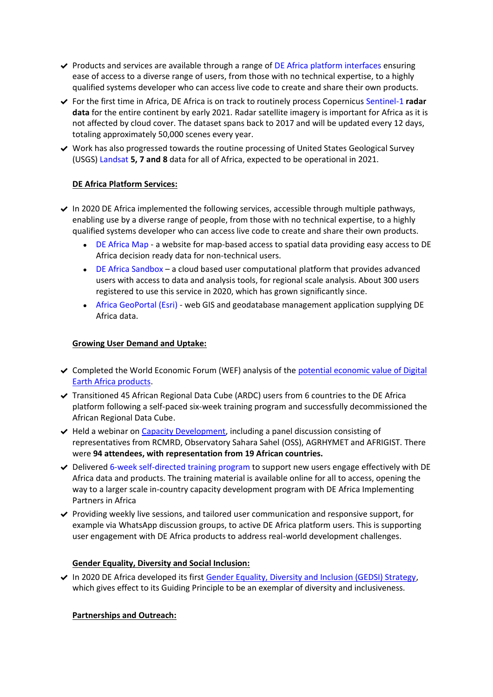- $\vee$  Products and services are available through a range of [DE Africa platform interfaces](https://www.digitalearthafrica.org/platform-resources/platform) ensuring ease of access to a diverse range of users, from those with no technical expertise, to a highly qualified systems developer who can access live code to create and share their own products.
- ✔ For the first time in Africa, DE Africa is on track to routinely process Copernicus [Sentinel-1](https://www.digitalearthafrica.org/platform-resources/analysis-ready-data/sentinel-1) **radar data** for the entire continent by early 2021. Radar satellite imagery is important for Africa as it is not affected by cloud cover. The dataset spans back to 2017 and will be updated every 12 days, totaling approximately 50,000 scenes every year.
- ✔ Work has also progressed towards the routine processing o[f United States Geological Survey](https://www.usgs.gov/core-science-systems/nli/landsat)  [\(USGS\)](https://www.usgs.gov/core-science-systems/nli/landsat) [Landsat](https://www.digitalearthafrica.org/platform-resources/analysis-ready-data/landsat) **[5, 7 and 8](https://www.usgs.gov/core-science-systems/nli/landsat)** data for all of Africa, expected to be operational in 2021.

#### **DE Africa Platform Services:**

- $\vee$  In 2020 DE Africa implemented the following services, accessible through multiple pathways, enabling use by a diverse range of people, from those with no technical expertise, to a highly qualified systems developer who can access live code to create and share their own products.
	- [DE Africa Map](https://maps.digitalearth.africa/) a website for map-based access to spatial data providing easy access to DE Africa decision ready data for non-technical users.
	- [DE Africa Sandbox](https://sandbox.digitalearth.africa/hub/login) a cloud based user computational platform that provides advanced users with access to data and analysis tools, for regional scale analysis. About 300 users registered to use this service in 2020, which has grown significantly since.
	- [Africa GeoPortal](https://www.africageoportal.com/) (Esri) web GIS and geodatabase management application supplying DE Africa data.

#### **Growing User Demand and Uptake:**

- ◆ Completed the World Economic Forum (WEF) analysis of the potential economic value of Digital [Earth Africa products.](https://www.weforum.org/reports/unlocking-the-potential-of-earth-observation-to-address-africa-s-critical-challenges)
- ✔ Transitioned 45 African Regional Data Cube (ARDC) users from 6 countries to the DE Africa platform following a self-paced [six-week training program](https://training.digitalearthafrica.org/en/latest/) and successfully [decommissioned the](https://www.digitalearthafrica.org/media-center/news/thank-you-africa-regional-data-cube)  [African Regional Data Cube.](https://www.digitalearthafrica.org/media-center/news/thank-you-africa-regional-data-cube)
- $\vee$  Held a webinar on [Capacity Development,](https://youtu.be/bgp_CM9ukuA) including a panel discussion consisting of representatives from RCMRD, Observatory Sahara Sahel (OSS), AGRHYMET and AFRIGIST. There were **94 attendees, with representation from 19 African countries.**
- ◆ Delivered [6-week self-directed training program](https://training.digitalearthafrica.org/en/latest/) to support new users engage effectively with DE Africa data and products. The training material is available online for all to access, opening the way to a larger scale in-country capacity development program with DE Africa Implementing Partners in Africa
- $\vee$  Providing weekly live sessions, and tailored user communication and responsive support, for example via WhatsApp discussion groups, to active DE Africa platform users. This is supporting user engagement with DE Africa products to address real-world development challenges.

#### **Gender Equality, Diversity and Social Inclusion:**

↓ In 2020 DE Africa developed its first [Gender Equality, Diversity and Inclusion \(GEDSI\) Strategy,](https://www.digitalearthafrica.org/sites/default/files/downloads/DE%20Africa%20GEDSI%20Strategy.pdf) which gives effect to its Guiding Principle to be an exemplar of diversity and inclusiveness.

#### **Partnerships and Outreach:**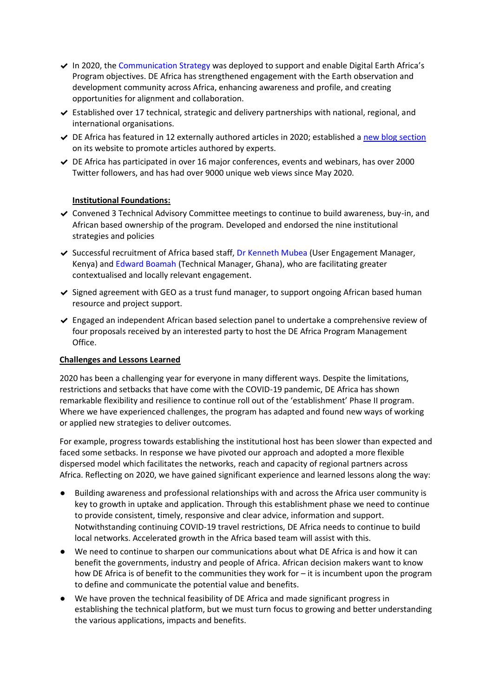- ✔ In 2020, the [Communication Strategy](https://www.digitalearthafrica.org/sites/default/files/DE%20Africa_Communication%20Strategy_2019-2022.pdf) was deployed to support and enable Digital Earth Africa's Program objectives. DE Africa has strengthened engagement with the Earth observation and development community across Africa, enhancing awareness and profile, and creating opportunities for alignment and collaboration.
- $\vee$  Established over 17 technical, strategic and delivery partnerships with national, regional, and international organisations.
- $\vee$  DE Africa has featured in 12 externally authored articles in 2020; established a [new blog section](https://www.digitalearthafrica.org/media-center/blog) on its website to promote articles authored by experts.
- $\vee$  DE Africa has participated in over 16 major conferences, events and webinars, has over 2000 Twitter followers, and has had over 9000 unique web views since May 2020.

#### **Institutional Foundations:**

- ✔ Convened 3 Technical Advisory Committee meetings to continue to build awareness, buy-in, and African based ownership of the program. Developed and endorsed the nine institutional strategies and policies
- ✔ Successful recruitment of Africa based staff, [Dr Kenneth Mubea](https://www.digitalearthafrica.org/media-center/news/meet-kenneth-our-new-user-engagement-manager) (User Engagement Manager, Kenya) and [Edward Boamah](https://www.digitalearthafrica.org/media-center/news/meet-edward-our-new-technical-manager) (Technical Manager, Ghana), who are facilitating greater contextualised and locally relevant engagement.
- $\vee$  Signed agreement with GEO as a trust fund manager, to support ongoing African based human resource and project support.
- ✔ Engaged an independent African based selection panel to undertake a comprehensive review of four proposals received by an interested party to host the DE Africa Program Management Office.

#### **Challenges and Lessons Learned**

2020 has been a challenging year for everyone in many different ways. Despite the limitations, restrictions and setbacks that have come with the COVID-19 pandemic, DE Africa has shown remarkable flexibility and resilience to continue roll out of the 'establishment' Phase II program. Where we have experienced challenges, the program has adapted and found new ways of working or applied new strategies to deliver outcomes.

For example, progress towards establishing the institutional host has been slower than expected and faced some setbacks. In response we have pivoted our approach and adopted a more flexible dispersed model which facilitates the networks, reach and capacity of regional partners across Africa. Reflecting on 2020, we have gained significant experience and learned lessons along the way:

- Building awareness and professional relationships with and across the Africa user community is key to growth in uptake and application. Through this establishment phase we need to continue to provide consistent, timely, responsive and clear advice, information and support. Notwithstanding continuing COVID-19 travel restrictions, DE Africa needs to continue to build local networks. Accelerated growth in the Africa based team will assist with this.
- We need to continue to sharpen our communications about what DE Africa is and how it can benefit the governments, industry and people of Africa. African decision makers want to know how DE Africa is of benefit to the communities they work for – it is incumbent upon the program to define and communicate the potential value and benefits.
- We have proven the technical feasibility of DE Africa and made significant progress in establishing the technical platform, but we must turn focus to growing and better understanding the various applications, impacts and benefits.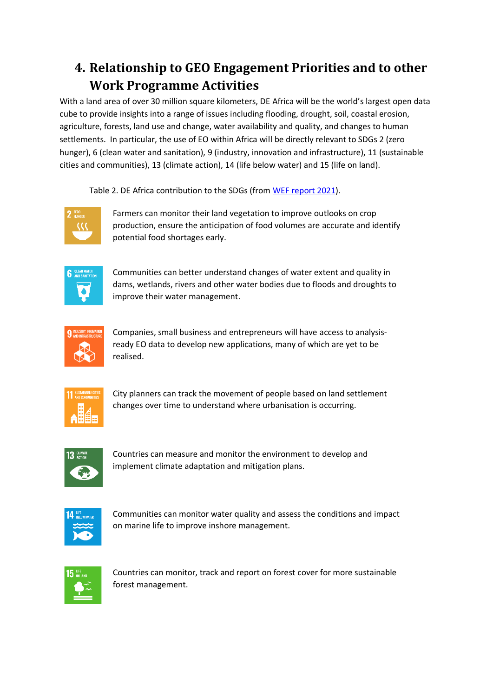## **4. Relationship to GEO Engagement Priorities and to other Work Programme Activities**

With a land area of over 30 million square kilometers, DE Africa will be the world's largest open data cube to provide insights into a range of issues including flooding, drought, soil, coastal erosion, agriculture, forests, land use and change, water availability and quality, and changes to human settlements. In particular, the use of EO within Africa will be directly relevant to SDGs 2 (zero hunger), 6 (clean water and sanitation), 9 (industry, innovation and infrastructure), 11 (sustainable cities and communities), 13 (climate action), 14 (life below water) and 15 (life on land).

Table 2. DE Africa contribution to the SDGs (from [WEF report 2021\)](https://www.weforum.org/reports/unlocking-the-potential-of-earth-observation-to-address-africa-s-critical-challenges).



Farmers can monitor their land vegetation to improve outlooks on crop production, ensure the anticipation of food volumes are accurate and identify potential food shortages early.



Communities can better understand changes of water extent and quality in dams, wetlands, rivers and other water bodies due to floods and droughts to improve their water management.



Companies, small business and entrepreneurs will have access to analysisready EO data to develop new applications, many of which are yet to be realised.



City planners can track the movement of people based on land settlement changes over time to understand where urbanisation is occurring.



Countries can measure and monitor the environment to develop and implement climate adaptation and mitigation plans.



Communities can monitor water quality and assess the conditions and impact on marine life to improve inshore management.



Countries can monitor, track and report on forest cover for more sustainable forest management.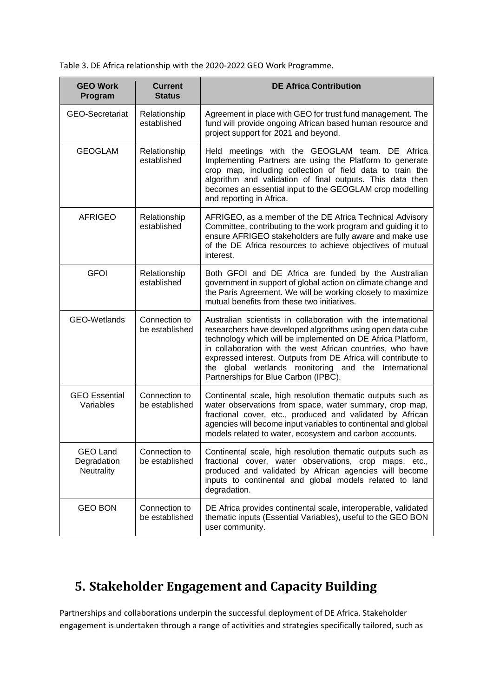Table 3. DE Africa relationship with the 2020-2022 GEO Work Programme.

| <b>GEO Work</b><br>Program                          | <b>Current</b><br><b>Status</b> | <b>DE Africa Contribution</b>                                                                                                                                                                                                                                                                                                                                                                                             |
|-----------------------------------------------------|---------------------------------|---------------------------------------------------------------------------------------------------------------------------------------------------------------------------------------------------------------------------------------------------------------------------------------------------------------------------------------------------------------------------------------------------------------------------|
| <b>GEO-Secretariat</b>                              | Relationship<br>established     | Agreement in place with GEO for trust fund management. The<br>fund will provide ongoing African based human resource and<br>project support for 2021 and beyond.                                                                                                                                                                                                                                                          |
| <b>GEOGLAM</b>                                      | Relationship<br>established     | Held meetings with the GEOGLAM team. DE Africa<br>Implementing Partners are using the Platform to generate<br>crop map, including collection of field data to train the<br>algorithm and validation of final outputs. This data then<br>becomes an essential input to the GEOGLAM crop modelling<br>and reporting in Africa.                                                                                              |
| <b>AFRIGEO</b>                                      | Relationship<br>established     | AFRIGEO, as a member of the DE Africa Technical Advisory<br>Committee, contributing to the work program and guiding it to<br>ensure AFRIGEO stakeholders are fully aware and make use<br>of the DE Africa resources to achieve objectives of mutual<br>interest.                                                                                                                                                          |
| <b>GFOI</b>                                         | Relationship<br>established     | Both GFOI and DE Africa are funded by the Australian<br>government in support of global action on climate change and<br>the Paris Agreement. We will be working closely to maximize<br>mutual benefits from these two initiatives.                                                                                                                                                                                        |
| <b>GEO-Wetlands</b>                                 | Connection to<br>be established | Australian scientists in collaboration with the international<br>researchers have developed algorithms using open data cube<br>technology which will be implemented on DE Africa Platform,<br>in collaboration with the west African countries, who have<br>expressed interest. Outputs from DE Africa will contribute to<br>the global wetlands monitoring and the International<br>Partnerships for Blue Carbon (IPBC). |
| <b>GEO</b> Essential<br>Variables                   | Connection to<br>be established | Continental scale, high resolution thematic outputs such as<br>water observations from space, water summary, crop map,<br>fractional cover, etc., produced and validated by African<br>agencies will become input variables to continental and global<br>models related to water, ecosystem and carbon accounts.                                                                                                          |
| <b>GEO Land</b><br>Degradation<br><b>Neutrality</b> | Connection to<br>be established | Continental scale, high resolution thematic outputs such as<br>fractional cover, water observations, crop maps, etc.,<br>produced and validated by African agencies will become<br>inputs to continental and global models related to land<br>degradation.                                                                                                                                                                |
| <b>GEO BON</b>                                      | Connection to<br>be established | DE Africa provides continental scale, interoperable, validated<br>thematic inputs (Essential Variables), useful to the GEO BON<br>user community.                                                                                                                                                                                                                                                                         |

## **5. Stakeholder Engagement and Capacity Building**

Partnerships and collaborations underpin the successful deployment of DE Africa. Stakeholder engagement is undertaken through a range of activities and strategies specifically tailored, such as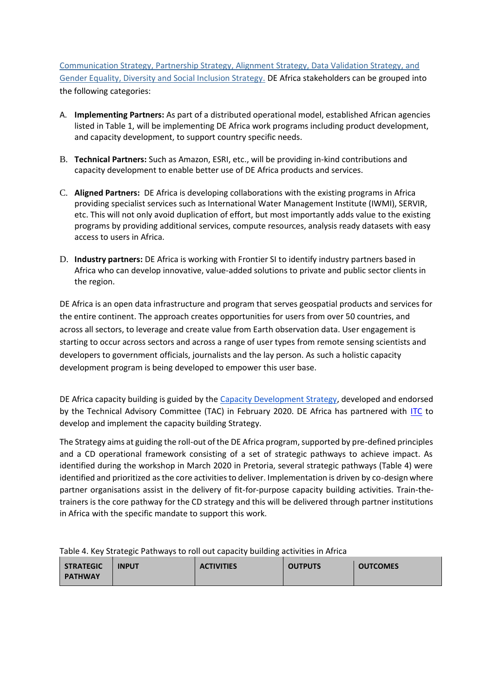[Communication Strategy,](https://www.digitalearthafrica.org/sites/default/files/downloads/DE%20Africa_Communication%20Strategy_2019-2022.pdf) [Partnership Strategy,](https://www.digitalearthafrica.org/sites/default/files/downloads/DE%20Africa_Partnership%20Strategy.pdf) [Alignment Strategy,](https://www.digitalearthafrica.org/sites/default/files/downloads/DE%20Africa_Alignment%20Strategy.pdf) [Data Validation Strategy,](https://www.digitalearthafrica.org/sites/default/files/downloads/DE%20Africa%20Validation%20Strategy_draft.pdf) and [Gender Equality, Diversity and Social Inclusion Strategy.](https://www.digitalearthafrica.org/sites/default/files/downloads/DE%20Africa%20GEDSI%20Strategy.pdf) DE Africa stakeholders can be grouped into the following categories:

- A. **Implementing Partners:** As part of a distributed operational model, established African agencies listed in Table 1, will be implementing DE Africa work programs including product development, and capacity development, to support country specific needs.
- B. **Technical Partners:** Such as Amazon, ESRI, etc., will be providing in-kind contributions and capacity development to enable better use of DE Africa products and services.
- C. **Aligned Partners:** DE Africa is developing collaborations with the existing programs in Africa providing specialist services such as International Water Management Institute (IWMI), SERVIR, etc. This will not only avoid duplication of effort, but most importantly adds value to the existing programs by providing additional services, compute resources, analysis ready datasets with easy access to users in Africa.
- D. **Industry partners:** DE Africa is working with Frontier SI to identify industry partners based in Africa who can develop innovative, value-added solutions to private and public sector clients in the region.

DE Africa is an open data infrastructure and program that serves geospatial products and services for the entire continent. The approach creates opportunities for users from over 50 countries, and across all sectors, to leverage and create value from Earth observation data. User engagement is starting to occur across sectors and across a range of user types from remote sensing scientists and developers to government officials, journalists and the lay person. As such a holistic capacity development program is being developed to empower this user base.

DE Africa capacity building is guided by the [Capacity Development Strategy,](https://www.digitalearthafrica.org/sites/default/files/downloads/DE%20Africa_Capacity%20Development%20Strategy.pdf) developed and endorsed by the Technical Advisory Committee (TAC) in February 2020. DE Africa has partnered with [ITC](https://www.itc.nl/) to develop and implement the capacity building Strategy.

The Strategy aims at guiding the roll-out of the DE Africa program, supported by pre-defined principles and a CD operational framework consisting of a set of strategic pathways to achieve impact. As identified during the workshop in March 2020 in Pretoria, several strategic pathways (Table 4) were identified and prioritized as the core activities to deliver. Implementation is driven by co-design where partner organisations assist in the delivery of fit-for-purpose capacity building activities. Train-thetrainers is the core pathway for the CD strategy and this will be delivered through partner institutions in Africa with the specific mandate to support this work.

Table 4. Key Strategic Pathways to roll out capacity building activities in Africa

| <b>STRATEGIC</b> | <b>INPUT</b> | <b>ACTIVITIES</b> | <b>OUTPUTS</b> | <b>OUTCOMES</b> |
|------------------|--------------|-------------------|----------------|-----------------|
| <b>PATHWAY</b>   |              |                   |                |                 |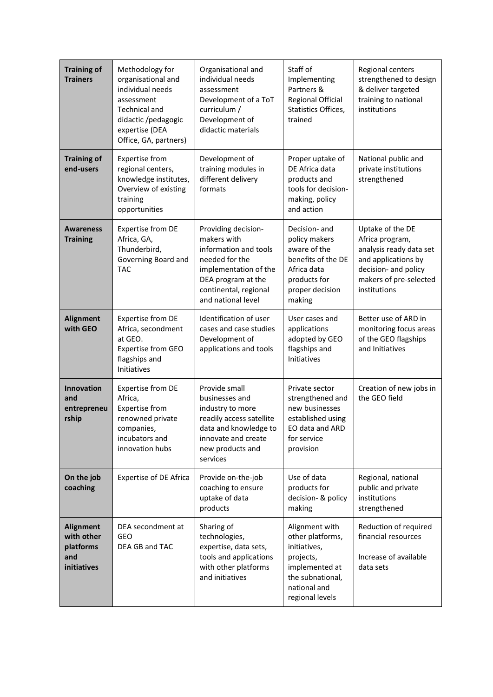| <b>Training of</b><br><b>Trainers</b>                             | Methodology for<br>organisational and<br>individual needs<br>assessment<br><b>Technical and</b><br>didactic /pedagogic<br>expertise (DEA<br>Office, GA, partners) | Organisational and<br>individual needs<br>assessment<br>Development of a ToT<br>curriculum /<br>Development of<br>didactic materials                                        | Staff of<br>Implementing<br>Partners &<br>Regional Official<br>Statistics Offices,<br>trained                                            | Regional centers<br>strengthened to design<br>& deliver targeted<br>training to national<br>institutions                                                |
|-------------------------------------------------------------------|-------------------------------------------------------------------------------------------------------------------------------------------------------------------|-----------------------------------------------------------------------------------------------------------------------------------------------------------------------------|------------------------------------------------------------------------------------------------------------------------------------------|---------------------------------------------------------------------------------------------------------------------------------------------------------|
| <b>Training of</b><br>end-users                                   | <b>Expertise from</b><br>regional centers,<br>knowledge institutes,<br>Overview of existing<br>training<br>opportunities                                          | Development of<br>training modules in<br>different delivery<br>formats                                                                                                      | Proper uptake of<br>DE Africa data<br>products and<br>tools for decision-<br>making, policy<br>and action                                | National public and<br>private institutions<br>strengthened                                                                                             |
| <b>Awareness</b><br><b>Training</b>                               | Expertise from DE<br>Africa, GA,<br>Thunderbird,<br>Governing Board and<br><b>TAC</b>                                                                             | Providing decision-<br>makers with<br>information and tools<br>needed for the<br>implementation of the<br>DEA program at the<br>continental, regional<br>and national level | Decision- and<br>policy makers<br>aware of the<br>benefits of the DE<br>Africa data<br>products for<br>proper decision<br>making         | Uptake of the DE<br>Africa program,<br>analysis ready data set<br>and applications by<br>decision- and policy<br>makers of pre-selected<br>institutions |
| <b>Alignment</b><br>with GEO                                      | Expertise from DE<br>Africa, secondment<br>at GEO.<br><b>Expertise from GEO</b><br>flagships and<br><b>Initiatives</b>                                            | Identification of user<br>cases and case studies<br>Development of<br>applications and tools                                                                                | User cases and<br>applications<br>adopted by GEO<br>flagships and<br>Initiatives                                                         | Better use of ARD in<br>monitoring focus areas<br>of the GEO flagships<br>and Initiatives                                                               |
| Innovation<br>and<br>entrepreneu<br>rship                         | Expertise from DE<br>Africa,<br><b>Expertise from</b><br>renowned private<br>companies,<br>incubators and<br>innovation hubs                                      | Provide small<br>businesses and<br>industry to more<br>readily access satellite<br>data and knowledge to<br>innovate and create<br>new products and<br>services             | Private sector<br>strengthened and<br>new businesses<br>established using<br>EO data and ARD<br>for service<br>provision                 | Creation of new jobs in<br>the GEO field                                                                                                                |
| On the job<br>coaching                                            | <b>Expertise of DE Africa</b>                                                                                                                                     | Provide on-the-job<br>coaching to ensure<br>uptake of data<br>products                                                                                                      | Use of data<br>products for<br>decision- & policy<br>making                                                                              | Regional, national<br>public and private<br>institutions<br>strengthened                                                                                |
| <b>Alignment</b><br>with other<br>platforms<br>and<br>initiatives | DEA secondment at<br>GEO<br>DEA GB and TAC                                                                                                                        | Sharing of<br>technologies,<br>expertise, data sets,<br>tools and applications<br>with other platforms<br>and initiatives                                                   | Alignment with<br>other platforms,<br>initiatives,<br>projects,<br>implemented at<br>the subnational,<br>national and<br>regional levels | Reduction of required<br>financial resources<br>Increase of available<br>data sets                                                                      |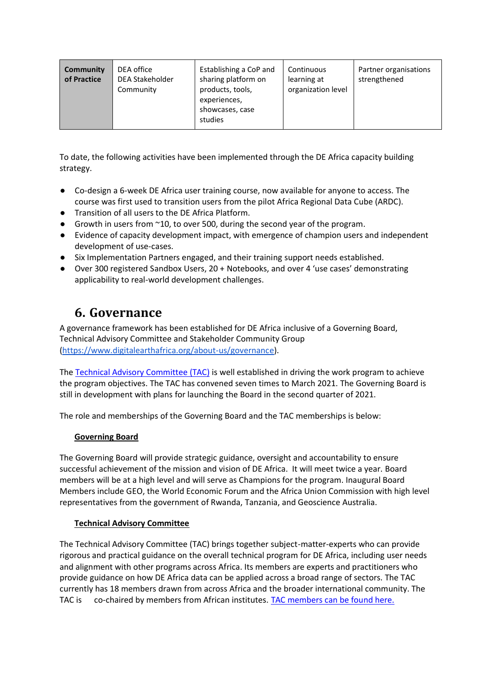| Community<br>of Practice | DEA office<br>DEA Stakeholder<br>Community | Establishing a CoP and<br>sharing platform on<br>products, tools,<br>experiences,<br>showcases, case<br>studies | Continuous<br>learning at<br>organization level | Partner organisations<br>strengthened |
|--------------------------|--------------------------------------------|-----------------------------------------------------------------------------------------------------------------|-------------------------------------------------|---------------------------------------|
|--------------------------|--------------------------------------------|-----------------------------------------------------------------------------------------------------------------|-------------------------------------------------|---------------------------------------|

To date, the following activities have been implemented through the DE Africa capacity building strategy.

- Co-design a 6-week DE Africa user training course, now available for anyone to access. The course was first used to transition users from the pilot Africa Regional Data Cube (ARDC).
- Transition of all users to the DE Africa Platform.
- Growth in users from  $\sim$  10, to over 500, during the second year of the program.
- Evidence of capacity development impact, with emergence of champion users and independent development of use-cases.
- Six Implementation Partners engaged, and their training support needs established.
- Over 300 registered Sandbox Users, 20 + Notebooks, and over 4 'use cases' demonstrating applicability to real-world development challenges.

### **6. Governance**

A governance framework has been established for DE Africa inclusive of a Governing Board, Technical Advisory Committee and Stakeholder Community Group [\(https://www.digitalearthafrica.org/about-us/governance\)](https://www.digitalearthafrica.org/about-us/governance).

The [Technical Advisory Committee \(TAC\)](https://www.digitalearthafrica.org/about-us/governance/technical-advisory-committee) is well established in driving the work program to achieve the program objectives. The TAC has convened seven times to March 2021. The Governing Board is still in development with plans for launching the Board in the second quarter of 2021.

The role and memberships of the Governing Board and the TAC memberships is below:

#### **Governing Board**

The Governing Board will provide strategic guidance, oversight and accountability to ensure successful achievement of the mission and vision of DE Africa. It will meet twice a year. Board members will be at a high level and will serve as Champions for the program. Inaugural Board Members include GEO, the World Economic Forum and the Africa Union Commission with high level representatives from the government of Rwanda, Tanzania, and Geoscience Australia.

#### **Technical Advisory Committee**

The Technical Advisory Committee (TAC) brings together subject-matter-experts who can provide rigorous and practical guidance on the overall technical program for DE Africa, including user needs and alignment with other programs across Africa. Its members are experts and practitioners who provide guidance on how DE Africa data can be applied across a broad range of sectors. The TAC currently has 18 members drawn from across Africa and the broader international community. The TAC is co-chaired by members from African institutes. [TAC members can be found here.](https://www.digitalearthafrica.org/about-us/governance/technical-advisory-committee)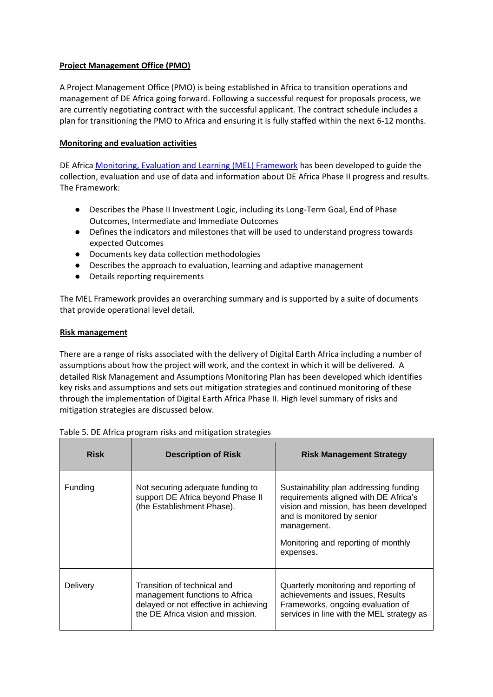#### **Project Management Office (PMO)**

A Project Management Office (PMO) is being established in Africa to transition operations and management of DE Africa going forward. Following a successful request for proposals process, we are currently negotiating contract with the successful applicant. The contract schedule includes a plan for transitioning the PMO to Africa and ensuring it is fully staffed within the next 6-12 months.

#### **Monitoring and evaluation activities**

DE Africa [Monitoring, Evaluation and Learning \(MEL\) Framework](https://www.digitalearthafrica.org/about-us/program-planning/investment-logic-and-status-updates) has been developed to guide the collection, evaluation and use of data and information about DE Africa Phase II progress and results. The Framework:

- Describes the Phase II Investment Logic, including its Long-Term Goal, End of Phase Outcomes, Intermediate and Immediate Outcomes
- Defines the indicators and milestones that will be used to understand progress towards expected Outcomes
- Documents key data collection methodologies
- Describes the approach to evaluation, learning and adaptive management
- Details reporting requirements

The MEL Framework provides an overarching summary and is supported by a suite of documents that provide operational level detail.

#### **Risk management**

There are a range of risks associated with the delivery of Digital Earth Africa including a number of assumptions about how the project will work, and the context in which it will be delivered. A detailed Risk Management and Assumptions Monitoring Plan has been developed which identifies key risks and assumptions and sets out mitigation strategies and continued monitoring of these through the implementation of Digital Earth Africa Phase II. High level summary of risks and mitigation strategies are discussed below.

| <b>Risk</b> | <b>Description of Risk</b>                                                                                                                  | <b>Risk Management Strategy</b>                                                                                                                                                                                            |
|-------------|---------------------------------------------------------------------------------------------------------------------------------------------|----------------------------------------------------------------------------------------------------------------------------------------------------------------------------------------------------------------------------|
| Funding     | Not securing adequate funding to<br>support DE Africa beyond Phase II<br>(the Establishment Phase).                                         | Sustainability plan addressing funding<br>requirements aligned with DE Africa's<br>vision and mission, has been developed<br>and is monitored by senior<br>management.<br>Monitoring and reporting of monthly<br>expenses. |
| Delivery    | Transition of technical and<br>management functions to Africa<br>delayed or not effective in achieving<br>the DE Africa vision and mission. | Quarterly monitoring and reporting of<br>achievements and issues, Results<br>Frameworks, ongoing evaluation of<br>services in line with the MEL strategy as                                                                |

| Table 5. DE Africa program risks and mitigation strategies |  |  |  |
|------------------------------------------------------------|--|--|--|
|------------------------------------------------------------|--|--|--|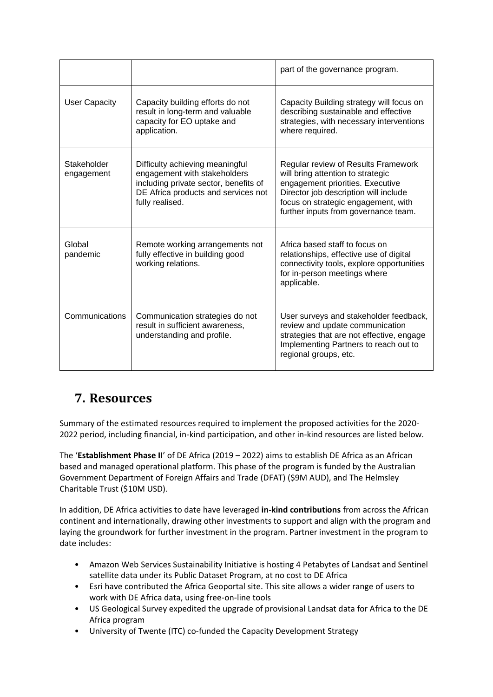|                           |                                                                                                                                                                    | part of the governance program.                                                                                                                                                                                                      |
|---------------------------|--------------------------------------------------------------------------------------------------------------------------------------------------------------------|--------------------------------------------------------------------------------------------------------------------------------------------------------------------------------------------------------------------------------------|
| <b>User Capacity</b>      | Capacity building efforts do not<br>result in long-term and valuable<br>capacity for EO uptake and<br>application.                                                 | Capacity Building strategy will focus on<br>describing sustainable and effective<br>strategies, with necessary interventions<br>where required.                                                                                      |
| Stakeholder<br>engagement | Difficulty achieving meaningful<br>engagement with stakeholders<br>including private sector, benefits of<br>DE Africa products and services not<br>fully realised. | Regular review of Results Framework<br>will bring attention to strategic<br>engagement priorities. Executive<br>Director job description will include<br>focus on strategic engagement, with<br>further inputs from governance team. |
| Global<br>pandemic        | Remote working arrangements not<br>fully effective in building good<br>working relations.                                                                          | Africa based staff to focus on<br>relationships, effective use of digital<br>connectivity tools, explore opportunities<br>for in-person meetings where<br>applicable.                                                                |
| Communications            | Communication strategies do not<br>result in sufficient awareness,<br>understanding and profile.                                                                   | User surveys and stakeholder feedback,<br>review and update communication<br>strategies that are not effective, engage<br>Implementing Partners to reach out to<br>regional groups, etc.                                             |

## **7. Resources**

Summary of the estimated resources required to implement the proposed activities for the 2020- 2022 period, including financial, in-kind participation, and other in-kind resources are listed below.

The '**Establishment Phase II**' of DE Africa (2019 – 2022) aims to establish DE Africa as an African based and managed operational platform. This phase of the program is funded by the Australian Government Department of Foreign Affairs and Trade (DFAT) (\$9M AUD), and The Helmsley Charitable Trust (\$10M USD).

In addition, DE Africa activities to date have leveraged **in-kind contributions** from across the African continent and internationally, drawing other investments to support and align with the program and laying the groundwork for further investment in the program. Partner investment in the program to date includes:

- Amazon Web Services Sustainability Initiative is hosting 4 Petabytes of Landsat and Sentinel satellite data under its Public Dataset Program, at no cost to DE Africa
- Esri have contributed the Africa Geoportal site. This site allows a wider range of users to work with DE Africa data, using free-on-line tools
- US Geological Survey expedited the upgrade of provisional Landsat data for Africa to the DE Africa program
- University of Twente (ITC) co-funded the Capacity Development Strategy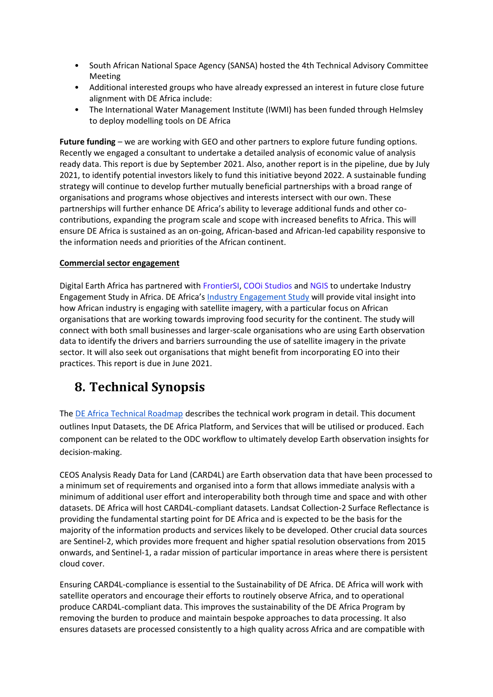- South African National Space Agency (SANSA) hosted the 4th Technical Advisory Committee Meeting
- Additional interested groups who have already expressed an interest in future close future alignment with DE Africa include:
- The International Water Management Institute (IWMI) has been funded through Helmsley to deploy modelling tools on DE Africa

**Future funding** – we are working with GEO and other partners to explore future funding options. Recently we engaged a consultant to undertake a detailed analysis of economic value of analysis ready data. This report is due by September 2021. Also, another report is in the pipeline, due by July 2021, to identify potential investors likely to fund this initiative beyond 2022. A sustainable funding strategy will continue to develop further mutually beneficial partnerships with a broad range of organisations and programs whose objectives and interests intersect with our own. These partnerships will further enhance DE Africa's ability to leverage additional funds and other cocontributions, expanding the program scale and scope with increased benefits to Africa. This will ensure DE Africa is sustained as an on-going, African-based and African-led capability responsive to the information needs and priorities of the African continent.

#### **Commercial sector engagement**

Digital Earth Africa has partnered with [FrontierSI,](https://frontiersi.com.au/) [COOi Studios](https://www.cooistudios.com/) an[d NGIS](https://ngis.com.au/) to undertake Industry Engagement Study in Africa. DE Africa's [Industry Engagement Study](https://www.digitalearthafrica.org/media-center/blog/digital-earth-africa-frontiersi-cooi-studios-and-ngis-announce-partnership) will provide vital insight into how African industry is engaging with satellite imagery, with a particular focus on African organisations that are working towards improving food security for the continent. The study will connect with both small businesses and larger-scale organisations who are using Earth observation data to identify the drivers and barriers surrounding the use of satellite imagery in the private sector. It will also seek out organisations that might benefit from incorporating EO into their practices. This report is due in June 2021.

## **8. Technical Synopsis**

The [DE Africa Technical Roadmap](https://www.digitalearthafrica.org/about-us/program-planning/technical-roadmap) describes the technical work program in detail. This document outlines Input Datasets, the DE Africa Platform, and Services that will be utilised or produced. Each component can be related to the ODC workflow to ultimately develop Earth observation insights for decision-making.

CEOS Analysis Ready Data for Land (CARD4L) are Earth observation data that have been processed to a minimum set of requirements and organised into a form that allows immediate analysis with a minimum of additional user effort and interoperability both through time and space and with other datasets. DE Africa will host CARD4L-compliant datasets. Landsat Collection-2 Surface Reflectance is providing the fundamental starting point for DE Africa and is expected to be the basis for the majority of the information products and services likely to be developed. Other crucial data sources are Sentinel-2, which provides more frequent and higher spatial resolution observations from 2015 onwards, and Sentinel-1, a radar mission of particular importance in areas where there is persistent cloud cover.

Ensuring CARD4L-compliance is essential to the Sustainability of DE Africa. DE Africa will work with satellite operators and encourage their efforts to routinely observe Africa, and to operational produce CARD4L-compliant data. This improves the sustainability of the DE Africa Program by removing the burden to produce and maintain bespoke approaches to data processing. It also ensures datasets are processed consistently to a high quality across Africa and are compatible with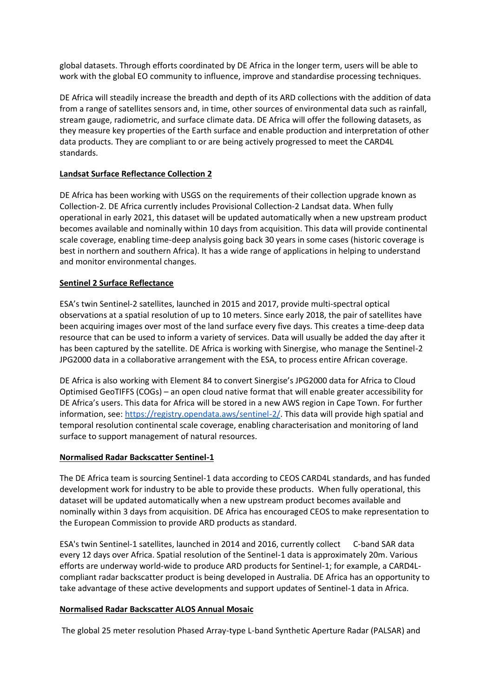global datasets. Through efforts coordinated by DE Africa in the longer term, users will be able to work with the global EO community to influence, improve and standardise processing techniques.

DE Africa will steadily increase the breadth and depth of its ARD collections with the addition of data from a range of satellites sensors and, in time, other sources of environmental data such as rainfall, stream gauge, radiometric, and surface climate data. DE Africa will offer the following datasets, as they measure key properties of the Earth surface and enable production and interpretation of other data products. They are compliant to or are being actively progressed to meet the CARD4L standards.

#### **Landsat Surface Reflectance Collection 2**

DE Africa has been working with USGS on the requirements of their collection upgrade known as Collection-2. DE Africa currently includes Provisional Collection-2 Landsat data. When fully operational in early 2021, this dataset will be updated automatically when a new upstream product becomes available and nominally within 10 days from acquisition. This data will provide continental scale coverage, enabling time-deep analysis going back 30 years in some cases (historic coverage is best in northern and southern Africa). It has a wide range of applications in helping to understand and monitor environmental changes.

#### **Sentinel 2 Surface Reflectance**

ESA's twin Sentinel-2 satellites, launched in 2015 and 2017, provide multi-spectral optical observations at a spatial resolution of up to 10 meters. Since early 2018, the pair of satellites have been acquiring images over most of the land surface every five days. This creates a time-deep data resource that can be used to inform a variety of services. Data will usually be added the day after it has been captured by the satellite. DE Africa is working with Sinergise, who manage the Sentinel-2 JPG2000 data in a collaborative arrangement with the ESA, to process entire African coverage.

DE Africa is also working with Element 84 to convert Sinergise's JPG2000 data for Africa to Cloud Optimised GeoTIFFS (COGs) – an open cloud native format that will enable greater accessibility for DE Africa's users. This data for Africa will be stored in a new AWS region in Cape Town. For further information, see: [https://registry.opendata.aws/sentinel-2/.](https://registry.opendata.aws/sentinel-2/) This data will provide high spatial and temporal resolution continental scale coverage, enabling characterisation and monitoring of land surface to support management of natural resources.

#### **Normalised Radar Backscatter Sentinel-1**

The DE Africa team is sourcing Sentinel-1 data according to CEOS CARD4L standards, and has funded development work for industry to be able to provide these products. When fully operational, this dataset will be updated automatically when a new upstream product becomes available and nominally within 3 days from acquisition. DE Africa has encouraged CEOS to make representation to the European Commission to provide ARD products as standard.

ESA's twin Sentinel-1 satellites, launched in 2014 and 2016, currently collect C-band SAR data every 12 days over Africa. Spatial resolution of the Sentinel-1 data is approximately 20m. Various efforts are underway world-wide to produce ARD products for Sentinel-1; for example, a CARD4Lcompliant radar backscatter product is being developed in Australia. DE Africa has an opportunity to take advantage of these active developments and support updates of Sentinel-1 data in Africa.

#### **Normalised Radar Backscatter ALOS Annual Mosaic**

The global 25 meter resolution Phased Array-type L-band Synthetic Aperture Radar (PALSAR) and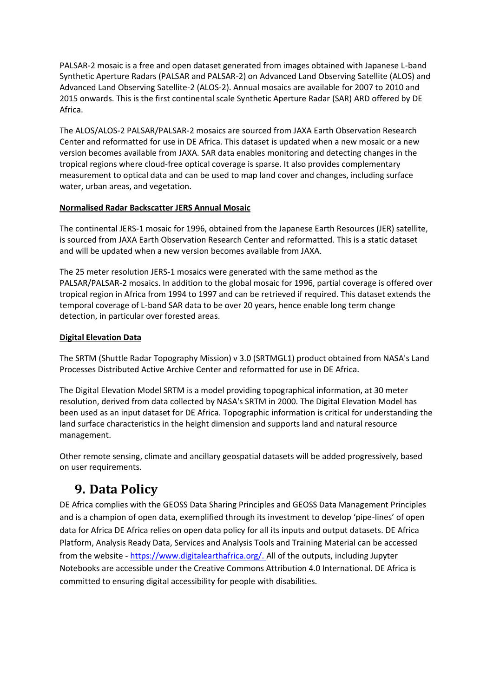PALSAR-2 mosaic is a free and open dataset generated from images obtained with Japanese L-band Synthetic Aperture Radars (PALSAR and PALSAR-2) on Advanced Land Observing Satellite (ALOS) and Advanced Land Observing Satellite-2 (ALOS-2). Annual mosaics are available for 2007 to 2010 and 2015 onwards. This is the first continental scale Synthetic Aperture Radar (SAR) ARD offered by DE Africa.

The ALOS/ALOS-2 PALSAR/PALSAR-2 mosaics are sourced from JAXA Earth Observation Research Center and reformatted for use in DE Africa. This dataset is updated when a new mosaic or a new version becomes available from JAXA. SAR data enables monitoring and detecting changes in the tropical regions where cloud-free optical coverage is sparse. It also provides complementary measurement to optical data and can be used to map land cover and changes, including surface water, urban areas, and vegetation.

#### **Normalised Radar Backscatter JERS Annual Mosaic**

The continental JERS-1 mosaic for 1996, obtained from the Japanese Earth Resources (JER) satellite, is sourced from JAXA Earth Observation Research Center and reformatted. This is a static dataset and will be updated when a new version becomes available from JAXA.

The 25 meter resolution JERS-1 mosaics were generated with the same method as the PALSAR/PALSAR-2 mosaics. In addition to the global mosaic for 1996, partial coverage is offered over tropical region in Africa from 1994 to 1997 and can be retrieved if required. This dataset extends the temporal coverage of L-band SAR data to be over 20 years, hence enable long term change detection, in particular over forested areas.

#### **Digital Elevation Data**

The SRTM (Shuttle Radar Topography Mission) v 3.0 (SRTMGL1) product obtained from NASA's Land Processes Distributed Active Archive Center and reformatted for use in DE Africa.

The Digital Elevation Model SRTM is a model providing topographical information, at 30 meter resolution, derived from data collected by NASA's SRTM in 2000. The Digital Elevation Model has been used as an input dataset for DE Africa. Topographic information is critical for understanding the land surface characteristics in the height dimension and supports land and natural resource management.

Other remote sensing, climate and ancillary geospatial datasets will be added progressively, based on user requirements.

## **9. Data Policy**

DE Africa complies with the GEOSS Data Sharing Principles and GEOSS Data Management Principles and is a champion of open data, exemplified through its investment to develop 'pipe-lines' of open data for Africa DE Africa relies on open data policy for all its inputs and output datasets. DE Africa Platform, Analysis Ready Data, Services and Analysis Tools and Training Material can be accessed from the website - [https://www.digitalearthafrica.org/.](https://www.digitalearthafrica.org/) All of the outputs, including Jupyter Notebooks are accessible under the Creative Commons Attribution 4.0 International. DE Africa is committed to ensuring digital accessibility for people with disabilities.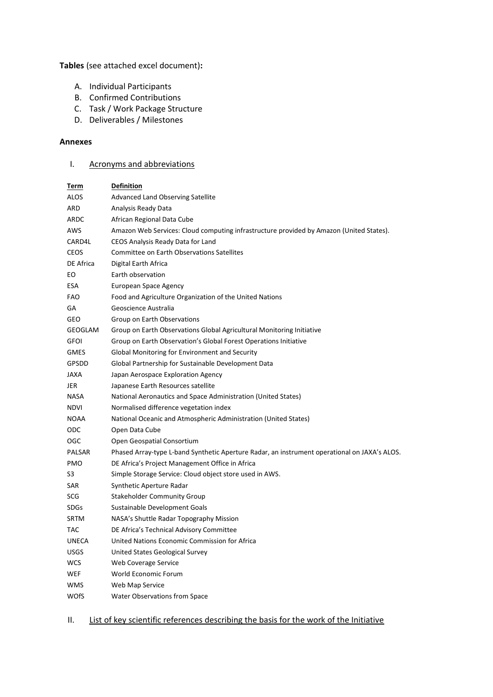**Tables** (see attached excel document)**:** 

- A. Individual Participants
- B. Confirmed Contributions
- C. Task / Work Package Structure
- D. Deliverables / Milestones

#### **Annexes**

#### I. Acronyms and abbreviations

| <u>Term</u>   | <b>Definition</b>                                                                            |
|---------------|----------------------------------------------------------------------------------------------|
| ALOS          | <b>Advanced Land Observing Satellite</b>                                                     |
| ARD           | <b>Analysis Ready Data</b>                                                                   |
| ARDC          | African Regional Data Cube                                                                   |
| AWS           | Amazon Web Services: Cloud computing infrastructure provided by Amazon (United States).      |
| CARD4L        | CEOS Analysis Ready Data for Land                                                            |
| <b>CEOS</b>   | Committee on Earth Observations Satellites                                                   |
| DE Africa     | Digital Earth Africa                                                                         |
| EО            | Earth observation                                                                            |
| ESA           | European Space Agency                                                                        |
| <b>FAO</b>    | Food and Agriculture Organization of the United Nations                                      |
| GA            | Geoscience Australia                                                                         |
| GEO           | Group on Earth Observations                                                                  |
| GEOGLAM       | Group on Earth Observations Global Agricultural Monitoring Initiative                        |
| <b>GFOI</b>   | Group on Earth Observation's Global Forest Operations Initiative                             |
| <b>GMES</b>   | Global Monitoring for Environment and Security                                               |
| GPSDD         | Global Partnership for Sustainable Development Data                                          |
| JAXA          | Japan Aerospace Exploration Agency                                                           |
| JER           | Japanese Earth Resources satellite                                                           |
| <b>NASA</b>   | National Aeronautics and Space Administration (United States)                                |
| <b>NDVI</b>   | Normalised difference vegetation index                                                       |
| <b>NOAA</b>   | National Oceanic and Atmospheric Administration (United States)                              |
| ODC           | Open Data Cube                                                                               |
| OGC           | Open Geospatial Consortium                                                                   |
| <b>PALSAR</b> | Phased Array-type L-band Synthetic Aperture Radar, an instrument operational on JAXA's ALOS. |
| <b>PMO</b>    | DE Africa's Project Management Office in Africa                                              |
| S3            | Simple Storage Service: Cloud object store used in AWS.                                      |
| <b>SAR</b>    | Synthetic Aperture Radar                                                                     |
| SCG           | <b>Stakeholder Community Group</b>                                                           |
| SDGs          | Sustainable Development Goals                                                                |
| SRTM          | NASA's Shuttle Radar Topography Mission                                                      |
| <b>TAC</b>    | DE Africa's Technical Advisory Committee                                                     |
| <b>UNECA</b>  | United Nations Economic Commission for Africa                                                |
| <b>USGS</b>   | United States Geological Survey                                                              |
| <b>WCS</b>    | Web Coverage Service                                                                         |
| WEF           | World Economic Forum                                                                         |
| <b>WMS</b>    | Web Map Service                                                                              |
| <b>WOfS</b>   | <b>Water Observations from Space</b>                                                         |

II. List of key scientific references describing the basis for the work of the Initiative